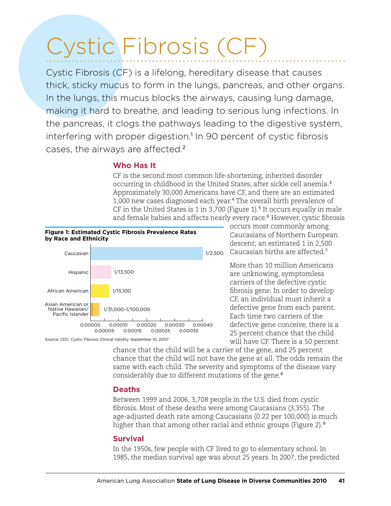# Cystic Fibrosis (CF)

Cystic Fibrosis (CF) is a lifelong, hereditary disease that causes thick, sticky mucus to form in the lungs, pancreas, and other organs. In the lungs, this mucus blocks the airways, causing lung damage, making it hard to breathe, and leading to serious lung infections. In the pancreas, it clogs the pathways leading to the digestive system, interfering with proper digestion.<sup>1</sup> In 90 percent of cystic fibrosis cases, the airways are affected. 2

### **Who Has It**

CF is the second most common life-shortening, inherited disorder occurring in childhood in the United States, after sickle cell anemia.<sup>3</sup> Approximately 30,000 Americans have CF, and there are an estimated 1,000 new cases diagnosed each year.<sup>4</sup> The overall birth prevalence of CF in the United States is 1 in 3,700 (Figure 1).<sup>5</sup> It occurs equally in male and female babies and affects nearly every race.<sup>6</sup> However, cystic fibrosis



Source: CDC. Cystic Fibrosis Clinical Validity. September 10, 2007

occurs most commonly among Caucasians of Northern European descent; an estimated 1 in 2,500 1/2,500 Caucasian births are affected.<sup>7</sup>

> More than 10 million Americans are unknowing, symptomless carriers of the defective cystic fibrosis gene. In order to develop CF, an individual must inherit a defective gene from each parent. Each time two carriers of the defective gene conceive, there is a 25 percent chance that the child will have CF. There is a 50 percent

chance that the child will be a carrier of the gene, and 25 percent chance that the child will not have the gene at all. The odds remain the same with each child. The severity and symptoms of the disease vary considerably due to different mutations of the gene.<sup>8</sup>

# **Deaths**

Between 1999 and 2006, 3,708 people in the U.S. died from cystic fibrosis. Most of these deaths were among Caucasians (3,355). The age-adjusted death rate among Caucasians (0.22 per 100,000) is much higher than that among other racial and ethnic groups (Figure 2).<sup>9</sup>

# **Survival**

In the 1950s, few people with CF lived to go to elementary school. In 1985, the median survival age was about 25 years. In 2007, the predicted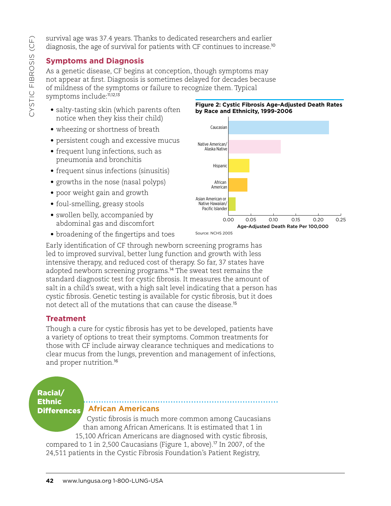survival age was 37.4 years. Thanks to dedicated researchers and earlier diagnosis, the age of survival for patients with CF continues to increase.<sup>10</sup>

# **Symptoms and Diagnosis**

As a genetic disease, CF begins at conception, though symptoms may not appear at first. Diagnosis is sometimes delayed for decades because of mildness of the symptoms or failure to recognize them. Typical symptoms include:<sup>11,12,13</sup>

- salty-tasting skin (which parents often notice when they kiss their child)
- wheezing or shortness of breath
- persistent cough and excessive mucus
- frequent lung infections, such as pneumonia and bronchitis
- frequent sinus infections (sinusitis)
- growths in the nose (nasal polyps)
- poor weight gain and growth
- foul-smelling, greasy stools
- swollen belly, accompanied by abdominal gas and discomfort
- broadening of the fingertips and toes

Early identification of CF through newborn screening programs has led to improved survival, better lung function and growth with less intensive therapy, and reduced cost of therapy. So far, 37 states have adopted newborn screening programs.<sup>14</sup> The sweat test remains the standard diagnostic test for cystic fibrosis. It measures the amount of salt in a child's sweat, with a high salt level indicating that a person has cystic fibrosis. Genetic testing is available for cystic fibrosis, but it does not detect all of the mutations that can cause the disease.<sup>15</sup>

# **Treatment**

Though a cure for cystic fibrosis has yet to be developed, patients have a variety of options to treat their symptoms. Common treatments for those with CF include airway clearance techniques and medications to clear mucus from the lungs, prevention and management of infections, and proper nutrition.<sup>16</sup>

#### Racial/ **Ethnic Differences**

### **African Americans**

Cystic fibrosis is much more common among Caucasians than among African Americans. It is estimated that 1 in 15,100 African Americans are diagnosed with cystic fibrosis,

compared to 1 in 2,500 Caucasians (Figure 1, above).<sup>17</sup> In 2007, of the 24,511 patients in the Cystic Fibrosis Foundation's Patient Registry,

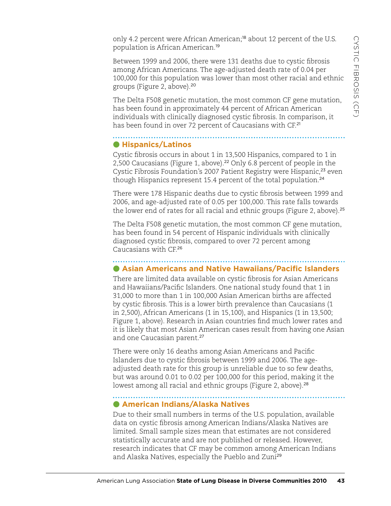only 4.2 percent were African American;<sup>18</sup> about 12 percent of the U.S. population is African American.<sup>19</sup>

Between 1999 and 2006, there were 131 deaths due to cystic fibrosis among African Americans. The age-adjusted death rate of 0.04 per 100,000 for this population was lower than most other racial and ethnic groups (Figure 2, above).<sup>20</sup>

The Delta F508 genetic mutation, the most common CF gene mutation, has been found in approximately 44 percent of African American individuals with clinically diagnosed cystic fibrosis. In comparison, it has been found in over 72 percent of Caucasians with CF.<sup>21</sup>

# **Hispanics/Latinos**

Cystic fibrosis occurs in about 1 in 13,500 Hispanics, compared to 1 in 2,500 Caucasians (Figure 1, above).<sup>22</sup> Only 6.8 percent of people in the Cystic Fibrosis Foundation's 2007 Patient Registry were Hispanic,<sup>23</sup> even though Hispanics represent 15.4 percent of the total population.<sup>24</sup>

There were 178 Hispanic deaths due to cystic fibrosis between 1999 and 2006, and age-adjusted rate of 0.05 per 100,000. This rate falls towards the lower end of rates for all racial and ethnic groups (Figure 2, above).<sup>25</sup>

The Delta F508 genetic mutation, the most common CF gene mutation, has been found in 54 percent of Hispanic individuals with clinically diagnosed cystic fibrosis, compared to over 72 percent among Caucasians with CF.<sup>26</sup>

# **Asian Americans and Native Hawaiians/Pacific Islanders**

There are limited data available on cystic fibrosis for Asian Americans and Hawaiians/Pacific Islanders. One national study found that 1 in 31,000 to more than 1 in 100,000 Asian American births are affected by cystic fibrosis. This is a lower birth prevalence than Caucasians (1 in 2,500), African Americans (1 in 15,100), and Hispanics (1 in 13,500; Figure 1, above). Research in Asian countries find much lower rates and it is likely that most Asian American cases result from having one Asian and one Caucasian parent.<sup>27</sup>

There were only 16 deaths among Asian Americans and Pacific Islanders due to cystic fibrosis between 1999 and 2006. The ageadjusted death rate for this group is unreliable due to so few deaths, but was around 0.01 to 0.02 per 100,000 for this period, making it the lowest among all racial and ethnic groups (Figure 2, above).<sup>28</sup>

# **American Indians/Alaska Natives**

Due to their small numbers in terms of the U.S. population, available data on cystic fibrosis among American Indians/Alaska Natives are limited. Small sample sizes mean that estimates are not considered statistically accurate and are not published or released. However, research indicates that CF may be common among American Indians and Alaska Natives, especially the Pueblo and Zuni<sup>29</sup>